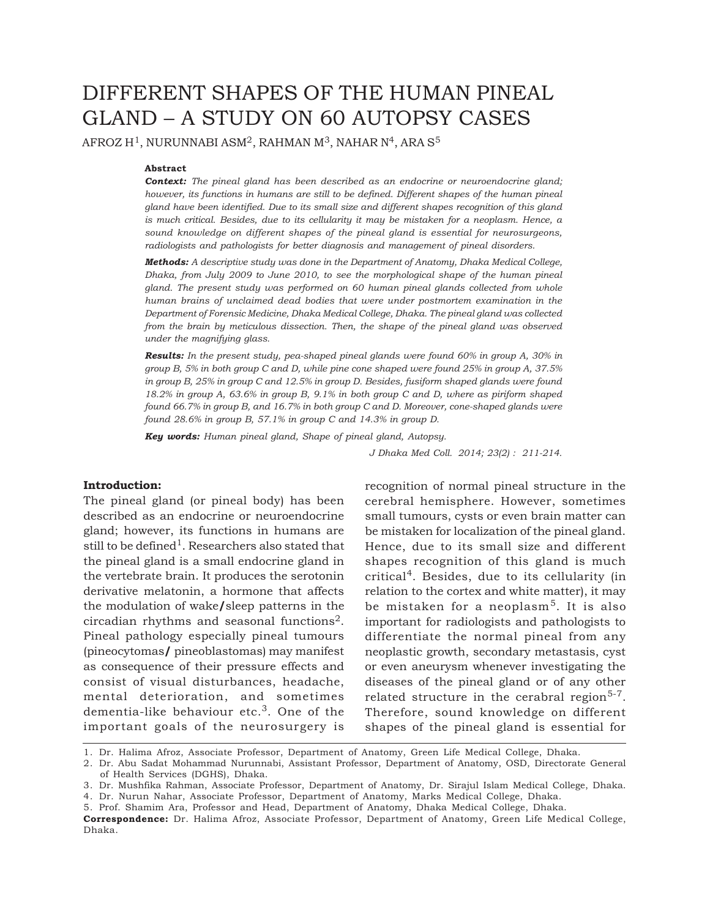# DIFFERENT SHAPES OF THE HUMAN PINEAL GLAND – A STUDY ON 60 AUTOPSY CASES

AFROZ H<sup>1</sup>, NURUNNABI ASM<sup>2</sup>, RAHMAN M<sup>3</sup>, NAHAR N<sup>4</sup>, ARA S<sup>5</sup>

## **Abstract**

*Context: The pineal gland has been described as an endocrine or neuroendocrine gland; however, its functions in humans are still to be defined. Different shapes of the human pineal gland have been identified. Due to its small size and different shapes recognition of this gland is much critical. Besides, due to its cellularity it may be mistaken for a neoplasm. Hence, a sound knowledge on different shapes of the pineal gland is essential for neurosurgeons, radiologists and pathologists for better diagnosis and management of pineal disorders.*

*Methods: A descriptive study was done in the Department of Anatomy, Dhaka Medical College, Dhaka, from July 2009 to June 2010, to see the morphological shape of the human pineal gland. The present study was performed on 60 human pineal glands collected from whole human brains of unclaimed dead bodies that were under postmortem examination in the Department of Forensic Medicine, Dhaka Medical College, Dhaka. The pineal gland was collected from the brain by meticulous dissection. Then, the shape of the pineal gland was observed under the magnifying glass.*

*Results: In the present study, pea-shaped pineal glands were found 60% in group A, 30% in group B, 5% in both group C and D, while pine cone shaped were found 25% in group A, 37.5% in group B, 25% in group C and 12.5% in group D. Besides, fusiform shaped glands were found 18.2% in group A, 63.6% in group B, 9.1% in both group C and D, where as piriform shaped found 66.7% in group B, and 16.7% in both group C and D. Moreover, cone-shaped glands were found 28.6% in group B, 57.1% in group C and 14.3% in group D.*

*Key words: Human pineal gland, Shape of pineal gland, Autopsy.*

*J Dhaka Med Coll. 2014; 23(2) : 211-214.*

#### **Introduction:**

The pineal gland (or pineal body) has been described as an endocrine or neuroendocrine gland; however, its functions in humans are still to be defined<sup>1</sup>. Researchers also stated that the pineal gland is a small endocrine gland in the vertebrate brain. It produces the serotonin derivative melatonin, a hormone that affects the modulation of wake**/**sleep patterns in the circadian rhythms and seasonal functions2. Pineal pathology especially pineal tumours (pineocytomas**/** pineoblastomas) may manifest as consequence of their pressure effects and consist of visual disturbances, headache, mental deterioration, and sometimes dementia-like behaviour etc.3. One of the important goals of the neurosurgery is

recognition of normal pineal structure in the cerebral hemisphere. However, sometimes small tumours, cysts or even brain matter can be mistaken for localization of the pineal gland. Hence, due to its small size and different shapes recognition of this gland is much critical4. Besides, due to its cellularity (in relation to the cortex and white matter), it may be mistaken for a neoplasm<sup>5</sup>. It is also important for radiologists and pathologists to differentiate the normal pineal from any neoplastic growth, secondary metastasis, cyst or even aneurysm whenever investigating the diseases of the pineal gland or of any other related structure in the cerabral region<sup>5-7</sup>. Therefore, sound knowledge on different shapes of the pineal gland is essential for

1. Dr. Halima Afroz, Associate Professor, Department of Anatomy, Green Life Medical College, Dhaka.

4. Dr. Nurun Nahar, Associate Professor, Department of Anatomy, Marks Medical College, Dhaka.

<sup>2.</sup> Dr. Abu Sadat Mohammad Nurunnabi, Assistant Professor, Department of Anatomy, OSD, Directorate General of Health Services (DGHS), Dhaka.

<sup>3.</sup> Dr. Mushfika Rahman, Associate Professor, Department of Anatomy, Dr. Sirajul Islam Medical College, Dhaka.

<sup>5.</sup> Prof. Shamim Ara, Professor and Head, Department of Anatomy, Dhaka Medical College, Dhaka.

**Correspondence:** Dr. Halima Afroz, Associate Professor, Department of Anatomy, Green Life Medical College, Dhaka.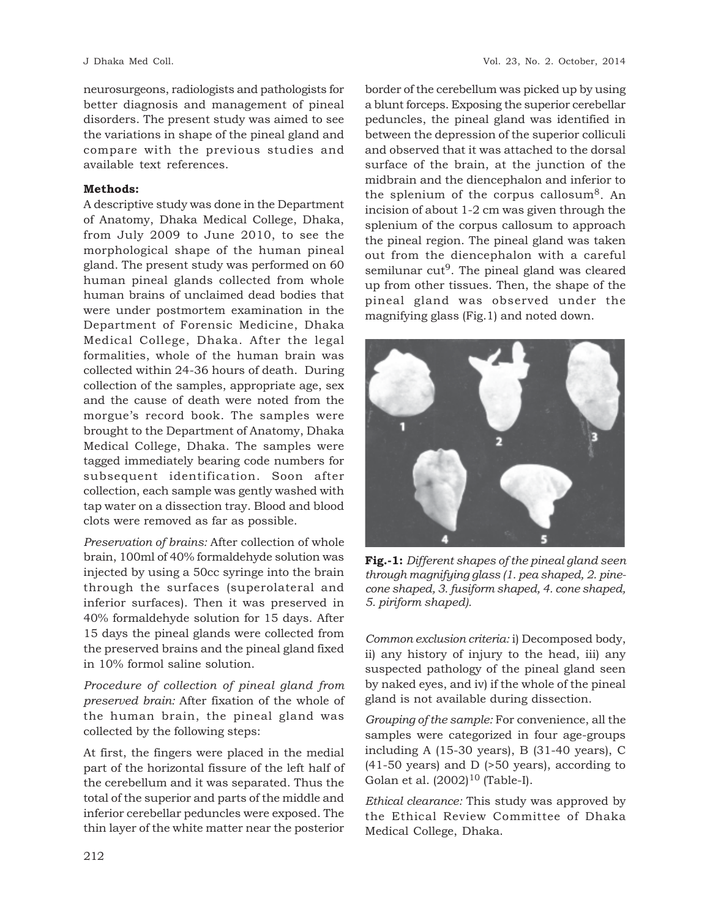neurosurgeons, radiologists and pathologists for better diagnosis and management of pineal disorders. The present study was aimed to see the variations in shape of the pineal gland and compare with the previous studies and available text references.

# **Methods:**

A descriptive study was done in the Department of Anatomy, Dhaka Medical College, Dhaka, from July 2009 to June 2010, to see the morphological shape of the human pineal gland. The present study was performed on 60 human pineal glands collected from whole human brains of unclaimed dead bodies that were under postmortem examination in the Department of Forensic Medicine, Dhaka Medical College, Dhaka. After the legal formalities, whole of the human brain was collected within 24-36 hours of death. During collection of the samples, appropriate age, sex and the cause of death were noted from the morgue's record book. The samples were brought to the Department of Anatomy, Dhaka Medical College, Dhaka. The samples were tagged immediately bearing code numbers for subsequent identification. Soon after collection, each sample was gently washed with tap water on a dissection tray. Blood and blood clots were removed as far as possible.

*Preservation of brains:* After collection of whole brain, 100ml of 40% formaldehyde solution was injected by using a 50cc syringe into the brain through the surfaces (superolateral and inferior surfaces). Then it was preserved in 40% formaldehyde solution for 15 days. After 15 days the pineal glands were collected from the preserved brains and the pineal gland fixed in 10% formol saline solution.

*Procedure of collection of pineal gland from preserved brain:* After fixation of the whole of the human brain, the pineal gland was collected by the following steps:

At first, the fingers were placed in the medial part of the horizontal fissure of the left half of the cerebellum and it was separated. Thus the total of the superior and parts of the middle and inferior cerebellar peduncles were exposed. The thin layer of the white matter near the posterior

border of the cerebellum was picked up by using a blunt forceps. Exposing the superior cerebellar peduncles, the pineal gland was identified in between the depression of the superior colliculi and observed that it was attached to the dorsal surface of the brain, at the junction of the midbrain and the diencephalon and inferior to the splenium of the corpus callosum<sup>8</sup>. An incision of about 1-2 cm was given through the splenium of the corpus callosum to approach the pineal region. The pineal gland was taken out from the diencephalon with a careful semilunar  $cut<sup>9</sup>$ . The pineal gland was cleared up from other tissues. Then, the shape of the pineal gland was observed under the magnifying glass (Fig.1) and noted down.



**Fig.-1:** *Different shapes of the pineal gland seen through magnifying glass (1. pea shaped, 2. pinecone shaped, 3. fusiform shaped, 4. cone shaped, 5. piriform shaped).*

*Common exclusion criteria:* i) Decomposed body, ii) any history of injury to the head, iii) any suspected pathology of the pineal gland seen by naked eyes, and iv) if the whole of the pineal gland is not available during dissection.

*Grouping of the sample:* For convenience, all the samples were categorized in four age-groups including A (15-30 years), B (31-40 years), C (41-50 years) and D (>50 years), according to Golan et al.  $(2002)^{10}$  (Table-I).

*Ethical clearance:* This study was approved by the Ethical Review Committee of Dhaka Medical College, Dhaka.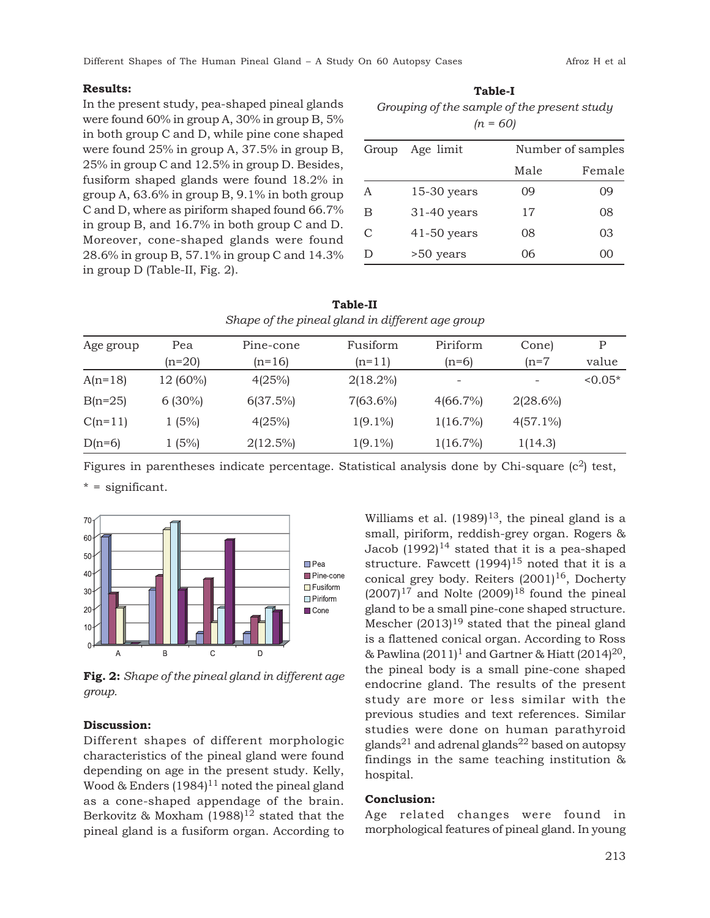## **Results:**

In the present study, pea-shaped pineal glands were found 60% in group A, 30% in group B, 5% in both group C and D, while pine cone shaped were found 25% in group A, 37.5% in group B, 25% in group C and 12.5% in group D. Besides, fusiform shaped glands were found 18.2% in group A, 63.6% in group B, 9.1% in both group C and D, where as piriform shaped found 66.7% in group B, and 16.7% in both group C and D. Moreover, cone-shaped glands were found 28.6% in group B, 57.1% in group C and 14.3% in group D (Table-II, Fig. 2).

**Table-I** *Grouping of the sample of the present study (n = 60)*

| Group | Age limit     | Number of samples |        |  |
|-------|---------------|-------------------|--------|--|
|       |               | Male              | Female |  |
| A     | $15-30$ years | 09                | 09     |  |
| B     | $31-40$ years | 17                | 08     |  |
| C     | $41-50$ years | 08                | 03     |  |
|       | >50 years     | 06                | ()()   |  |

| Shape of the pineal gland in different age group |           |             |             |             |                          |           |  |  |
|--------------------------------------------------|-----------|-------------|-------------|-------------|--------------------------|-----------|--|--|
| Age group                                        | Pea       | Pine-cone   | Fusiform    | Piriform    | Cone)                    | P         |  |  |
|                                                  | (n=20)    | $(n=16)$    | $(n=11)$    | $(n=6)$     | $(n=7)$                  | value     |  |  |
| $A(n=18)$                                        | 12 (60%)  | 4(25%)      | $2(18.2\%)$ |             | $\overline{\phantom{a}}$ | $< 0.05*$ |  |  |
| $B(n=25)$                                        | $6(30\%)$ | 6(37.5%)    | $7(63.6\%)$ | $4(66.7\%)$ | $2(28.6\%)$              |           |  |  |
| $C(n=11)$                                        | 1(5%)     | 4(25%)      | $1(9.1\%)$  | $1(16.7\%)$ | $4(57.1\%)$              |           |  |  |
| $D(n=6)$                                         | 1(5%)     | $2(12.5\%)$ | $1(9.1\%)$  | $1(16.7\%)$ | 1(14.3)                  |           |  |  |

**Table-II** *Shape of the pineal gland in different age group*

Figures in parentheses indicate percentage. Statistical analysis done by Chi-square  $(c^2)$  test, \* = significant.



**Fig. 2:** *Shape of the pineal gland in different age group.*

## **Discussion:**

Different shapes of different morphologic characteristics of the pineal gland were found depending on age in the present study. Kelly, Wood & Enders  $(1984)^{11}$  noted the pineal gland as a cone-shaped appendage of the brain. Berkovitz & Moxham  $(1988)^{12}$  stated that the pineal gland is a fusiform organ. According to Williams et al.  $(1989)^{13}$ , the pineal gland is a small, piriform, reddish-grey organ. Rogers & Jacob  $(1992)^{14}$  stated that it is a pea-shaped structure. Fawcett  $(1994)^{15}$  noted that it is a conical grey body. Reiters  $(2001)^{16}$ , Docherty  $(2007)^{17}$  and Nolte  $(2009)^{18}$  found the pineal gland to be a small pine-cone shaped structure. Mescher  $(2013)^{19}$  stated that the pineal gland is a flattened conical organ. According to Ross & Pawlina  $(2011)^1$  and Gartner & Hiatt  $(2014)^{20}$ , the pineal body is a small pine-cone shaped endocrine gland. The results of the present study are more or less similar with the previous studies and text references. Similar studies were done on human parathyroid glands<sup>21</sup> and adrenal glands<sup>22</sup> based on autopsy findings in the same teaching institution & hospital.

#### **Conclusion:**

Age related changes were found in morphological features of pineal gland. In young